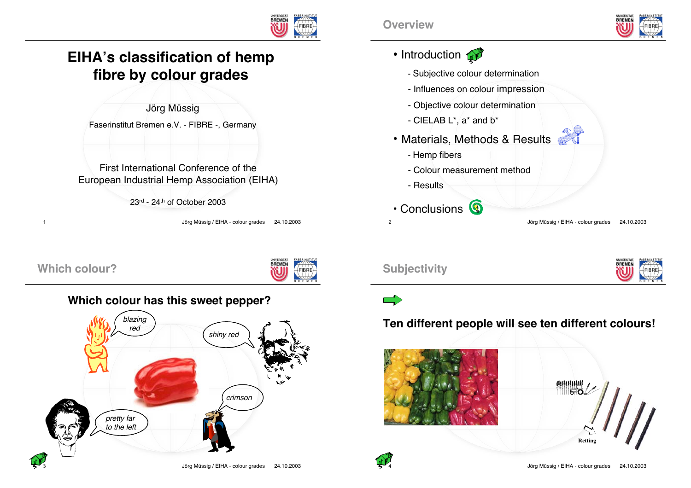

FIBRE

# **EIHA's classification of hemp fibre by colour grades**

Jörg Müssig

Faserinstitut Bremen e.V. - FIBRE -, Germany

First International Conference of the European Industrial Hemp Association (EIHA)

23rd - 24th of October 2003

1 Jörg Müssig / EIHA - colour grades 24.10.2003





- Introduction  $\mathbb{Z}$ 
	- Subjective colour determination
	- Influences on colour impression
	- Objective colour determination
	- CIELAB L\*, a\* and b\*
- Materials, Methods & Results
	- Hemp fibers
	- Colour measurement method
	- Results
- Conclusions **Q**
- 2 Jörg Müssig / EIHA colour grades 24.10.2003

### **Subjectivity**



 $\blacksquare$ 

### **Ten different people will see ten different colours!**









**Which colour?**

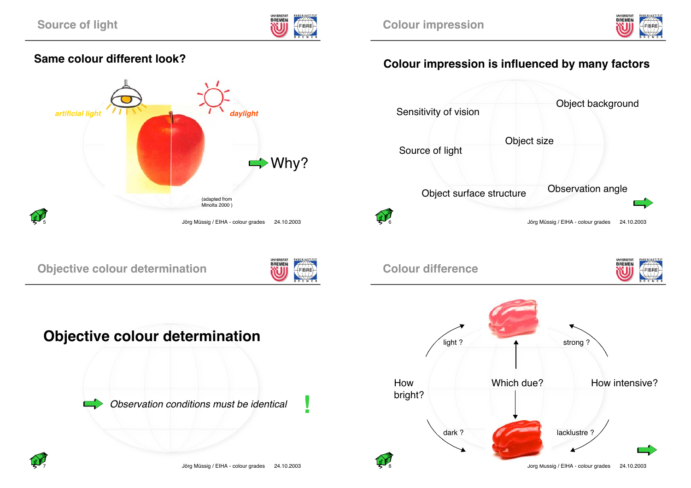

### **Same colour different look?**



**Objective colour determination**

**Objective colour determination**



# **Colour impression is influenced by many factors**

**Colour impression**





Observation conditions must be identical **!**

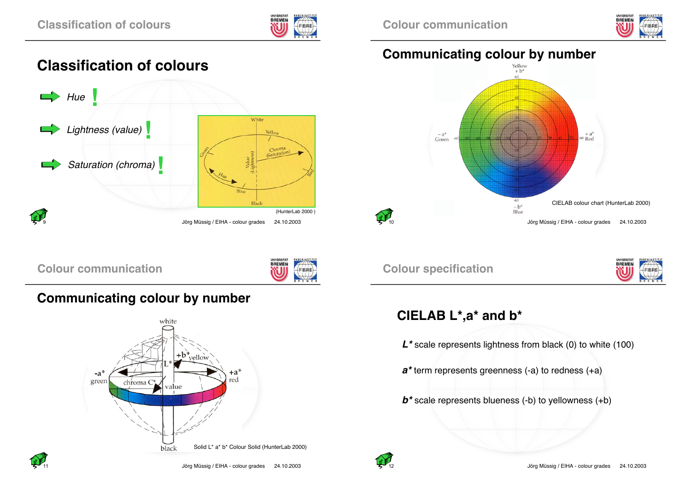



# **Classification of colours**



**Colour communication**



# **Communicating colour by number**





# **Communicating colour by number**



**Colour specification**



# **CIELAB L\*,a\* and b\***

**L\*** scale represents lightness from black (0) to white (100)

**<sup>a</sup>\*** term represents greenness (-a) to redness (+a)

**b\*** scale represents blueness (-b) to yellowness (+b)

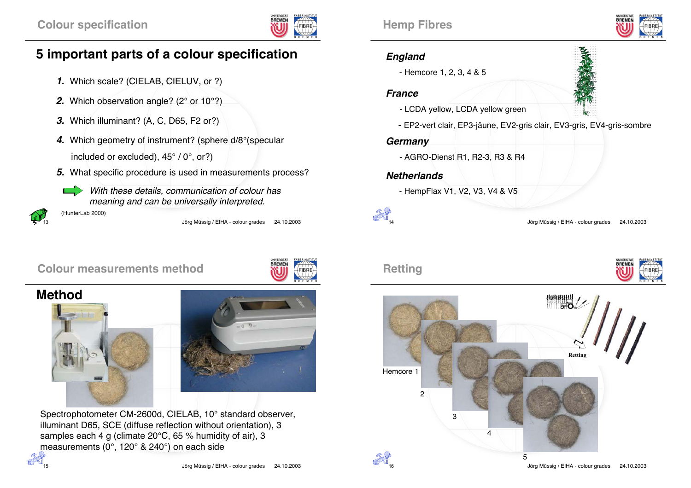

### **5 important parts of a colour specification**

- **1.** Which scale? (CIELAB, CIELUV, or ?)
- **2.** Which observation angle? (2° or 10°?)
- **3.** Which illuminant? (A, C, D65, F2 or?)
- **4.** Which geometry of instrument? (sphere d/8°(specular included or excluded), 45° / 0°, or?)
- **5.** What specific procedure is used in measurements process?
	- With these details, communication of colour has meaning and can be universally interpreted.

(HunterLab 2000)

13 Jörg Müssig / EIHA - colour grades 24.10.2003

### **Hemp Fibres**



#### **England**

- Hemcore 1, 2, 3, 4 & 5

#### **France**

- LCDA yellow, LCDA yellow green
- EP2-vert clair, EP3-jâune, EV2-gris clair, EV3-gris, EV4-gris-sombre

**Germany**

- AGRO-Dienst R1, R2-3, R3 & R4

#### **Netherlands**

- HempFlax V1, V2, V3, V4 & V5

Jörg Müssig / EIHA - colour grades 24.10.2003

### **Retting**





### **Colour measurements method**



Spectrophotometer CM-2600d, CIELAB, 10° standard observer, illuminant D65, SCE (diffuse reflection without orientation), 3 samples each 4 g (climate 20°C, 65 % humidity of air), 3 measurements (0°, 120° & 240°) on each side

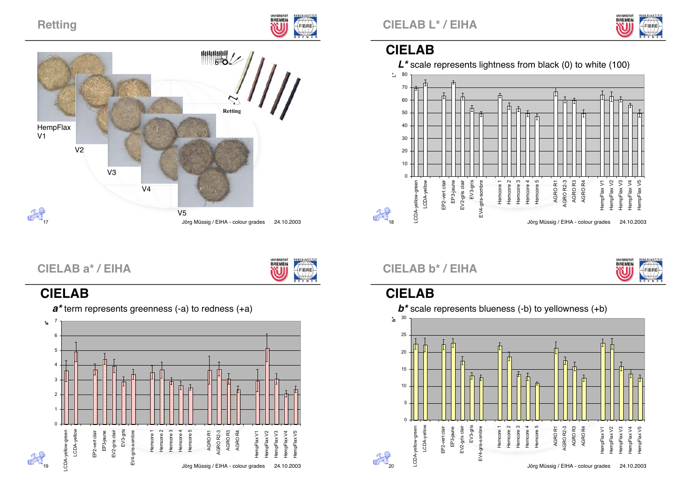

# **CIELAB a\* / EIHA**



**BREMEN** 

FIBRE

### **CIELAB**



**<sup>a</sup>\*** term represents greenness (-a) to redness (+a)



# **CIELAB**





### **CIELAB b\* / EIHA**



# **CIELAB**